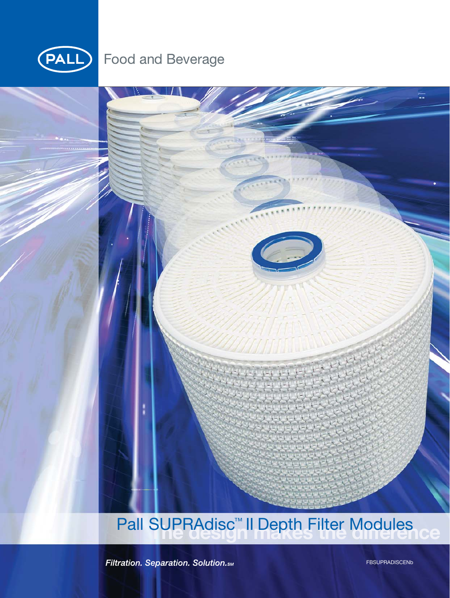

# **Food and Beverage**



# Pall SUPRAdisc<sup>™</sup> II Depth Filter Modules

Filtration. Separation. Solution.sm

FBSUPRADISCENb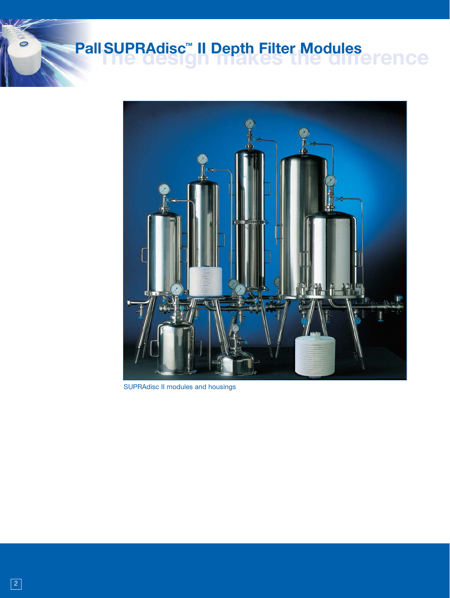# **The Depth Filter Modules**<br> **Pall SUPRAdisc™ III Depth Filter Modules**



SUPRAdisc II modules and housings

 $\epsilon$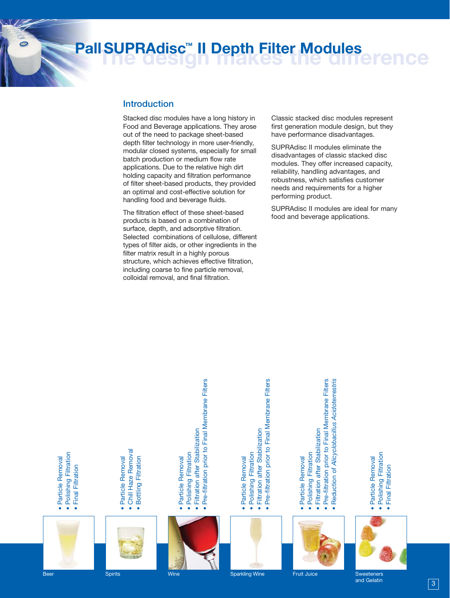### **Introduction**

Stacked disc modules have a long history in Food and Beverage applications. They arose out of the need to package sheet-based depth filter technology in more user-friendly, modular closed systems, especially for small batch production or medium flow rate applications. Due to the relative high dirt holding capacity and filtration performance of filter sheet-based products, they provided an optimal and cost-effective solution for handling food and beverage fluids.

The filtration effect of these sheet-based products is based on a combination of surface, depth, and adsorptive filtration. Selected combinations of cellulose, different types of filter aids, or other ingredients in the filter matrix result in a highly porous structure, which achieves effective filtration, including coarse to fine particle removal, colloidal removal, and final filtration.

Classic stacked disc modules represent first generation module design, but they have performance disadvantages.

SUPRAdisc II modules eliminate the disadvantages of classic stacked disc modules. They offer increased capacity, reliability, handling advantages, and robustness, which satisfies customer needs and requirements for a higher performing product.

SUPRAdisc II modules are ideal for many food and beverage applications.







- 
- Pre-filtration prior to Final Membrane Filters • Pre-filtration prior to Final Membrane Filters



Reduction of Alicyclobacillus Acidoterrestris • Reduction of *Alicyclobacillus Acidoterrestris*  $\bullet$ 



• Particle Removal<br>• Polishing Filtration **Final Filtration** • Final Filtration $\overline{\bullet}$ 

Sweeteners<br>and Gelatin





3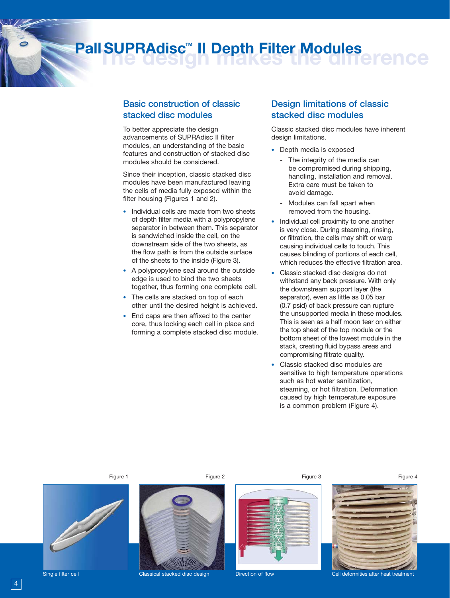# **Basic construction of classic stacked disc modules**

To better appreciate the design advancements of SUPRAdisc II filter modules, an understanding of the basic features and construction of stacked disc modules should be considered.

Since their inception, classic stacked disc modules have been manufactured leaving the cells of media fully exposed within the filter housing (Figures 1 and 2).

- Individual cells are made from two sheets of depth filter media with a polypropylene separator in between them. This separator is sandwiched inside the cell, on the downstream side of the two sheets, as the flow path is from the outside surface of the sheets to the inside (Figure 3).
- A polypropylene seal around the outside edge is used to bind the two sheets together, thus forming one complete cell.
- The cells are stacked on top of each other until the desired height is achieved.
- End caps are then affixed to the center core, thus locking each cell in place and forming a complete stacked disc module.

# **Design limitations of classic stacked disc modules**

Classic stacked disc modules have inherent design limitations.

- Depth media is exposed
	- The integrity of the media can be compromised during shipping, handling, installation and removal. Extra care must be taken to avoid damage.
	- Modules can fall apart when removed from the housing.
- Individual cell proximity to one another is very close. During steaming, rinsing, or filtration, the cells may shift or warp causing individual cells to touch. This causes blinding of portions of each cell, which reduces the effective filtration area.
- Classic stacked disc designs do not withstand any back pressure. With only the downstream support layer (the separator), even as little as 0.05 bar (0.7 psid) of back pressure can rupture the unsupported media in these modules. This is seen as a half moon tear on either the top sheet of the top module or the bottom sheet of the lowest module in the stack, creating fluid bypass areas and compromising filtrate quality.
- Classic stacked disc modules are sensitive to high temperature operations such as hot water sanitization, steaming, or hot filtration. Deformation caused by high temperature exposure is a common problem (Figure 4).

#### Figure 1





Single filter cell **Exercise Single Single Single Single Single** Direction of flow

Figure 2 Figure 3

#### Figure 4



Cell deformities after heat treatment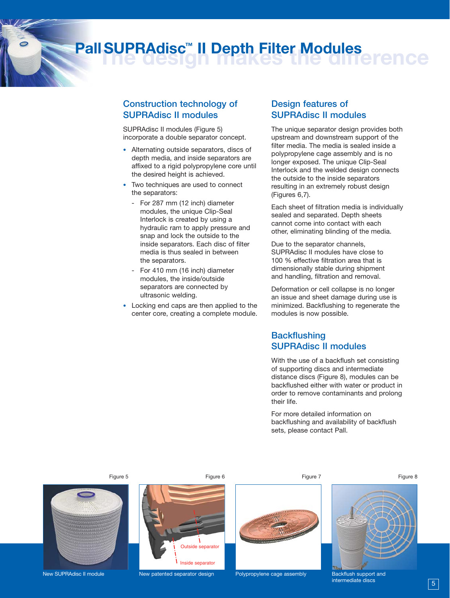# **The Difference Modules Pall SUPRAdisc™ II Depth Filter Modules**

### **Construction technology of SUPRAdisc II modules**

SUPRAdisc II modules (Figure 5) incorporate a double separator concept.

- Alternating outside separators, discs of depth media, and inside separators are affixed to a rigid polypropylene core until the desired height is achieved.
- Two techniques are used to connect the separators:
	- For 287 mm (12 inch) diameter modules, the unique Clip-Seal Interlock is created by using a hydraulic ram to apply pressure and snap and lock the outside to the inside separators. Each disc of filter media is thus sealed in between the separators.
	- For 410 mm (16 inch) diameter modules, the inside/outside separators are connected by ultrasonic welding.
- Locking end caps are then applied to the center core, creating a complete module.

## **Design features of SUPRAdisc II modules**

The unique separator design provides both upstream and downstream support of the filter media. The media is sealed inside a polypropylene cage assembly and is no longer exposed. The unique Clip-Seal Interlock and the welded design connects the outside to the inside separators resulting in an extremely robust design (Figures 6,7).

Each sheet of filtration media is individually sealed and separated. Depth sheets cannot come into contact with each other, eliminating blinding of the media.

Due to the separator channels, SUPRAdisc II modules have close to 100 % effective filtration area that is dimensionally stable during shipment and handling, filtration and removal.

Deformation or cell collapse is no longer an issue and sheet damage during use is minimized. Backflushing to regenerate the modules is now possible.

# **Backflushing SUPRAdisc II modules**

With the use of a backflush set consisting of supporting discs and intermediate distance discs (Figure 8), modules can be backflushed either with water or product in order to remove contaminants and prolong their life.

For more detailed information on backflushing and availability of backflush sets, please contact Pall.





New SUPRAdisc II module New patented separator design Polypropylene cage assembly



Figure 8

Backflush support and intermediate discs

5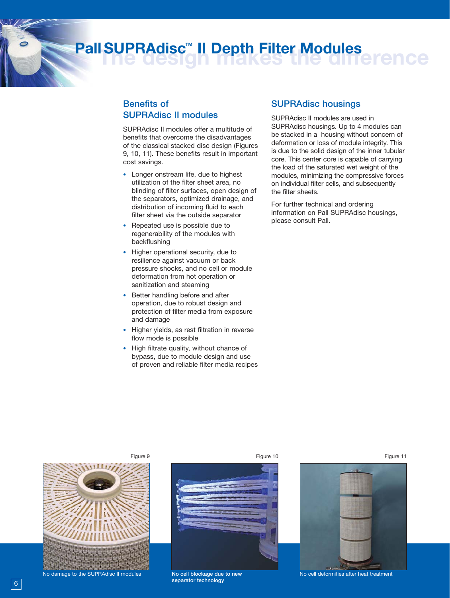# **The Difference Modules Pall SUPRAdisc™ II Depth Filter Modules**

# **Benefits of SUPRAdisc II modules**

SUPRAdisc II modules offer a multitude of benefits that overcome the disadvantages of the classical stacked disc design (Figures 9, 10, 11). These benefits result in important cost savings.

- Longer onstream life, due to highest utilization of the filter sheet area, no blinding of filter surfaces, open design of the separators, optimized drainage, and distribution of incoming fluid to each filter sheet via the outside separator
- Repeated use is possible due to regenerability of the modules with backflushing
- Higher operational security, due to resilience against vacuum or back pressure shocks, and no cell or module deformation from hot operation or sanitization and steaming
- Better handling before and after operation, due to robust design and protection of filter media from exposure and damage
- Higher yields, as rest filtration in reverse flow mode is possible
- High filtrate quality, without chance of bypass, due to module design and use of proven and reliable filter media recipes

## **SUPRAdisc housings**

SUPRAdisc II modules are used in SUPRAdisc housings. Up to 4 modules can be stacked in a housing without concern of deformation or loss of module integrity. This is due to the solid design of the inner tubular core. This center core is capable of carrying the load of the saturated wet weight of the modules, minimizing the compressive forces on individual filter cells, and subsequently the filter sheets.

For further technical and ordering information on Pall SUPRAdisc housings, please consult Pall.



No damage to the SUPRAdisc II modules



**No cell blockage due to new separator technology**



No cell deformities after heat treatment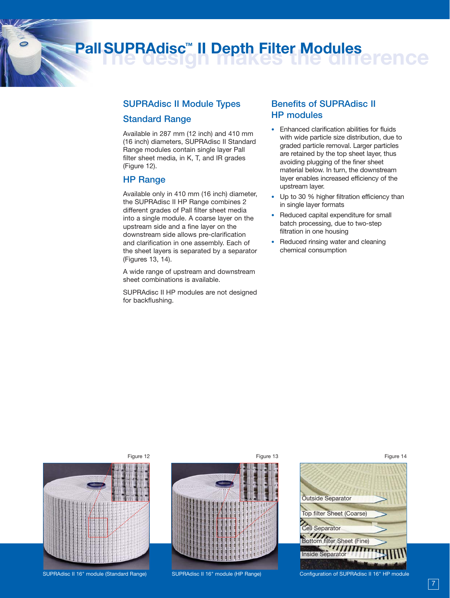### **SUPRAdisc II Module Types**

### **Standard Range**

Available in 287 mm (12 inch) and 410 mm (16 inch) diameters, SUPRAdisc II Standard Range modules contain single layer Pall filter sheet media, in K, T, and IR grades (Figure 12).

### **HP Range**

Available only in 410 mm (16 inch) diameter, the SUPRAdisc II HP Range combines 2 different grades of Pall filter sheet media into a single module. A coarse layer on the upstream side and a fine layer on the downstream side allows pre-clarification and clarification in one assembly. Each of the sheet layers is separated by a separator (Figures 13, 14).

A wide range of upstream and downstream sheet combinations is available.

SUPRAdisc II HP modules are not designed for backflushing.

# **Benefits of SUPRAdisc II HP modules**

- Enhanced clarification abilities for fluids with wide particle size distribution, due to graded particle removal. Larger particles are retained by the top sheet layer, thus avoiding plugging of the finer sheet material below. In turn, the downstream layer enables increased efficiency of the upstream layer.
- Up to 30 % higher filtration efficiency than in single layer formats
- Reduced capital expenditure for small batch processing, due to two-step filtration in one housing
- Reduced rinsing water and cleaning chemical consumption



SUPRAdisc II 16" module (Standard Range)



#### SUPRAdisc II 16" module (HP Range) Configuration of SUPRAdisc II 16" HP module

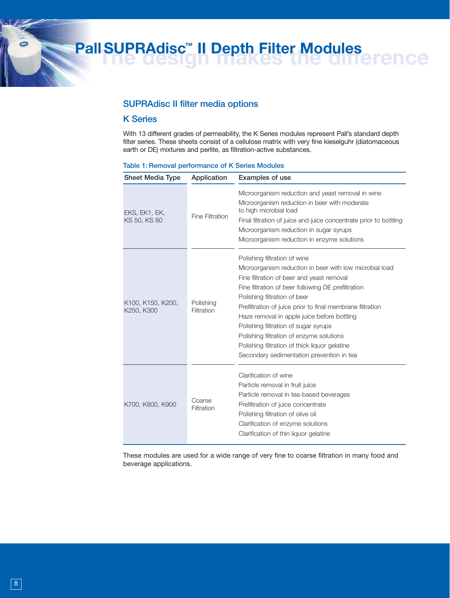# **The Depth Filter Modules<br>
Pall SUPRAdisc™ III Depth Filter Modules**<br>
OIII Depth Filter Modules

# **SUPRAdisc II filter media options**

### **K Series**

With 13 different grades of permeability, the K Series modules represent Pall's standard depth filter series. These sheets consist of a cellulose matrix with very fine kieselguhr (diatomaceous earth or DE) mixtures and perlite, as filtration-active substances.

| <b>Sheet Media Type</b>         | Application             | <b>Examples of use</b>                                                                                                                                                                                                                                                                                                                                                                                                                                                                                                   |  |  |
|---------------------------------|-------------------------|--------------------------------------------------------------------------------------------------------------------------------------------------------------------------------------------------------------------------------------------------------------------------------------------------------------------------------------------------------------------------------------------------------------------------------------------------------------------------------------------------------------------------|--|--|
| EKS, EK1, EK,<br>KS 50, KS 80   | <b>Fine Filtration</b>  | Microorganism reduction and yeast removal in wine<br>Microorganism reduction in beer with moderate<br>to high microbial load<br>Final filtration of juice and juice concentrate prior to bottling<br>Microorganism reduction in sugar syrups<br>Microorganism reduction in enzyme solutions                                                                                                                                                                                                                              |  |  |
| K100, K150, K200,<br>K250, K300 | Polishing<br>Filtration | Polishing filtration of wine<br>Microorganism reduction in beer with low microbial load<br>Fine filtration of beer and yeast removal<br>Fine filtration of beer following DE prefiltration<br>Polishing filtration of beer<br>Prefiltration of juice prior to final membrane filtration<br>Haze removal in apple juice before bottling<br>Polishing filtration of sugar syrups<br>Polishing filtration of enzyme solutions<br>Polishing filtration of thick liquor gelatine<br>Secondary sedimentation prevention in tea |  |  |
| K700, K800, K900                | Coarse<br>Filtration    | Clarification of wine<br>Particle removal in fruit juice<br>Particle removal in tea-based beverages<br>Prefiltration of juice concentrate<br>Polishing filtration of olive oil<br>Clarification of enzyme solutions<br>Clarification of thin liquor gelatine                                                                                                                                                                                                                                                             |  |  |

### **Table 1: Removal performance of K Series Modules**

These modules are used for a wide range of very fine to coarse filtration in many food and beverage applications.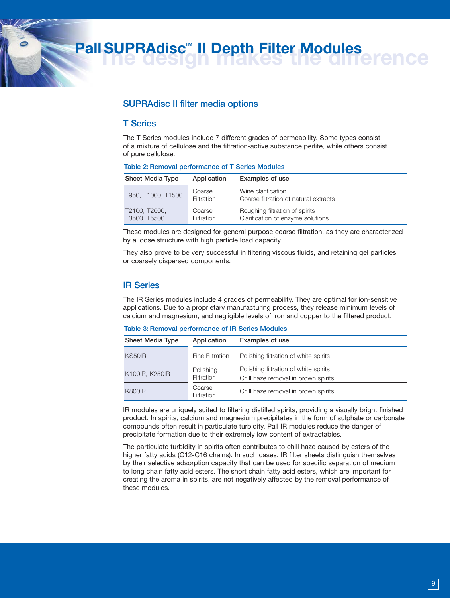## **SUPRAdisc II filter media options**

### **T Series**

The T Series modules include 7 different grades of permeability. Some types consist of a mixture of cellulose and the filtration-active substance perlite, while others consist of pure cellulose.

|  | Table 2: Removal performance of T Series Modules |  |  |
|--|--------------------------------------------------|--|--|
|--|--------------------------------------------------|--|--|

| <b>Sheet Media Type</b>       | Application          | <b>Examples of use</b>                                              |
|-------------------------------|----------------------|---------------------------------------------------------------------|
| T950, T1000, T1500            | Coarse<br>Filtration | Wine clarification<br>Coarse filtration of natural extracts         |
| T2100, T2600,<br>T3500, T5500 | Coarse<br>Filtration | Roughing filtration of spirits<br>Clarification of enzyme solutions |

These modules are designed for general purpose coarse filtration, as they are characterized by a loose structure with high particle load capacity.

They also prove to be very successful in filtering viscous fluids, and retaining gel particles or coarsely dispersed components.

### **IR Series**

The IR Series modules include 4 grades of permeability. They are optimal for ion-sensitive applications. Due to a proprietary manufacturing process, they release minimum levels of calcium and magnesium, and negligible levels of iron and copper to the filtered product.

| Table 3: Removal performance of IR Series Modules |  |  |  |  |
|---------------------------------------------------|--|--|--|--|
|---------------------------------------------------|--|--|--|--|

| Sheet Media Type | Application             | Examples of use                                                              |
|------------------|-------------------------|------------------------------------------------------------------------------|
| KS50IR           | Fine Filtration         | Polishing filtration of white spirits                                        |
| K100IR, K250IR   | Polishing<br>Filtration | Polishing filtration of white spirits<br>Chill haze removal in brown spirits |
| <b>K800IR</b>    | Coarse<br>Filtration    | Chill haze removal in brown spirits                                          |

IR modules are uniquely suited to filtering distilled spirits, providing a visually bright finished product. In spirits, calcium and magnesium precipitates in the form of sulphate or carbonate compounds often result in particulate turbidity. Pall IR modules reduce the danger of precipitate formation due to their extremely low content of extractables.

The particulate turbidity in spirits often contributes to chill haze caused by esters of the higher fatty acids (C12-C16 chains). In such cases, IR filter sheets distinguish themselves by their selective adsorption capacity that can be used for specific separation of medium to long chain fatty acid esters. The short chain fatty acid esters, which are important for creating the aroma in spirits, are not negatively affected by the removal performance of these modules.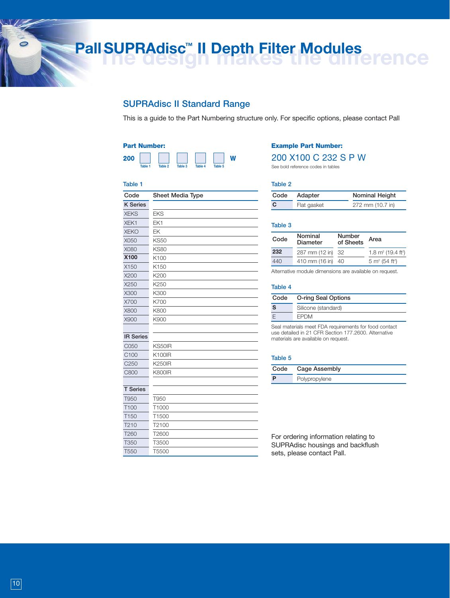# **Pall SUPRAdisc™ II Depth Filter Modules**<br> **Pall SUPRAdisc™ II Depth Filter Modules**

# **SUPRAdisc II Standard Range**

This is a guide to the Part Numbering structure only. For specific options, please contact Pall



#### **Table 1**

| Code             | Sheet Media Type |
|------------------|------------------|
| <b>K</b> Series  |                  |
| <b>XEKS</b>      | <b>EKS</b>       |
| XEK1             | EK1              |
| <b>XEKO</b>      | EK               |
| X050             | <b>KS50</b>      |
| X080             | <b>KS80</b>      |
| X100             | K100             |
| X150             | K150             |
| X200             | K200             |
| X250             | K250             |
| X300             | K300             |
| X700             | K700             |
| X800             | K800             |
| X900             | K900             |
|                  |                  |
| <b>IR Series</b> |                  |
| C050             | KS50IR           |
| C <sub>100</sub> | K100IR           |
| C <sub>250</sub> | <b>K250IR</b>    |
| C800             | <b>K800IR</b>    |
|                  |                  |
| <b>T</b> Series  |                  |
| T950             | T950             |
| T100             | T1000            |
| T150             | T1500            |
| T210             | T2100            |
| T260             | T2600            |
| T350             | T3500            |
| T550             | T5500            |

#### 200 X100 C 232 S P W

See bold reference codes in tables

#### **Table 2**

| Code | Adapter     | <b>Nominal Height</b> |
|------|-------------|-----------------------|
| C    | Flat gasket | 272 mm (10.7 in)      |

#### **Table 3**

| Code | Nominal<br>Diameter | <b>Number</b><br>of Sheets | Area                                  |
|------|---------------------|----------------------------|---------------------------------------|
| 232  | 287 mm (12 in) 32   |                            | 1.8 $m^2$ (19.4 ft <sup>2</sup> )     |
| 440  | 410 mm (16 in)      | 40                         | $5 \text{ m}^2$ (54 ft <sup>2</sup> ) |
|      |                     |                            |                                       |

Alternative module dimensions are available on request.

#### **Table 4**

| O-ring Seal Options |  |
|---------------------|--|
| Silicone (standard) |  |
| <b>FPDM</b>         |  |
|                     |  |

Seal materials meet FDA requirements for food contact use detailed in 21 CFR Section 177.2600. Alternative materials are available on request.

#### **Table 5**

| Code | Cage Assembly |
|------|---------------|
| P    | Polypropylene |

For ordering information relating to SUPRAdisc housings and backflush sets, please contact Pall.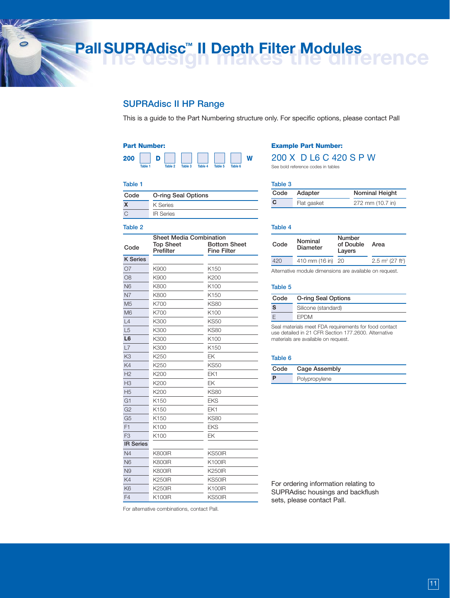# **Pall SUPRAdisc™ II Depth Filter Modules**<br> **Pall SUPRAdisc™ II Depth Filter Modules**

# **SUPRAdisc II HP Range**

This is a guide to the Part Numbering structure only. For specific options, please contact Pall

# **Part Number: Example Part Number:**



#### **Table 1**

| Code | <b>O-ring Seal Options</b> |
|------|----------------------------|
| X    | K Series                   |
| C    | <b>IR Series</b>           |

#### **Table 2**

|                  | <b>Sheet Media Combination</b> |                                           |  |
|------------------|--------------------------------|-------------------------------------------|--|
| Code             | <b>Top Sheet</b><br>Prefilter  | <b>Bottom Sheet</b><br><b>Fine Filter</b> |  |
| <b>K</b> Series  |                                |                                           |  |
| O <sub>7</sub>   | K900                           | K150                                      |  |
| O <sub>8</sub>   | K900                           | K200                                      |  |
| N <sub>6</sub>   | K800                           | K100                                      |  |
| N <sub>7</sub>   | K800                           | K150                                      |  |
| M <sub>5</sub>   | K700                           | <b>KS80</b>                               |  |
| M6               | K700                           | K100                                      |  |
| L4               | K300                           | <b>KS50</b>                               |  |
| L <sub>5</sub>   | K300                           | <b>KS80</b>                               |  |
| L <sub>6</sub>   | K300                           | K100                                      |  |
| L7               | K300                           | K150                                      |  |
| K <sub>3</sub>   | K250                           | EK                                        |  |
| K4               | K250                           | <b>KS50</b>                               |  |
| H <sub>2</sub>   | K200                           | EK1                                       |  |
| H <sub>3</sub>   | K200                           | EK                                        |  |
| H <sub>5</sub>   | K200                           | <b>KS80</b>                               |  |
| G <sub>1</sub>   | K150                           | <b>EKS</b>                                |  |
| G <sub>2</sub>   | K150                           | EK1                                       |  |
| G <sub>5</sub>   | K150                           | <b>KS80</b>                               |  |
| F1               | K100                           | <b>EKS</b>                                |  |
| F <sub>3</sub>   | K100                           | EK                                        |  |
| <b>IR Series</b> |                                |                                           |  |
| N <sub>4</sub>   | <b>K800IR</b>                  | KS50IR                                    |  |
| N <sub>6</sub>   | <b>K800IR</b>                  | <b>K100IR</b>                             |  |
| N <sub>9</sub>   | <b>K800IR</b>                  | <b>K250IR</b>                             |  |
| K4               | <b>K250IR</b>                  | KS50IR                                    |  |
| K <sub>6</sub>   | <b>K250IR</b>                  | <b>K100IR</b>                             |  |
| F4               | K100IR                         | KS50IR                                    |  |

For alternative combinations, contact Pall.

### 200 X D L6 C 420 S P W

See bold reference codes in tables

#### **Table 3**

| Code | Adapter     | <b>Nominal Height</b> |  |  |
|------|-------------|-----------------------|--|--|
| C    | Flat gasket | 272 mm (10.7 in)      |  |  |

#### **Table 4**

| Code | Nominal<br>Diameter                                     | <b>Number</b><br>of Double<br>Layers | Area                            |
|------|---------------------------------------------------------|--------------------------------------|---------------------------------|
| 420  | 410 mm (16 in) 20                                       |                                      | 2.5 $m^2$ (27 ft <sup>2</sup> ) |
|      | Alternative module dimensions are available on request. |                                      |                                 |

### **Table 5**

| Code     | O-ring Seal Options |  |
|----------|---------------------|--|
| <b>S</b> | Silicone (standard) |  |
|          | <b>FPDM</b>         |  |

Seal materials meet FDA requirements for food contact use detailed in 21 CFR Section 177.2600. Alternative materials are available on request.

#### **Table 6**

| Code | Cage Assembly |
|------|---------------|
| P    | Polypropylene |

For ordering information relating to SUPRAdisc housings and backflush sets, please contact Pall.